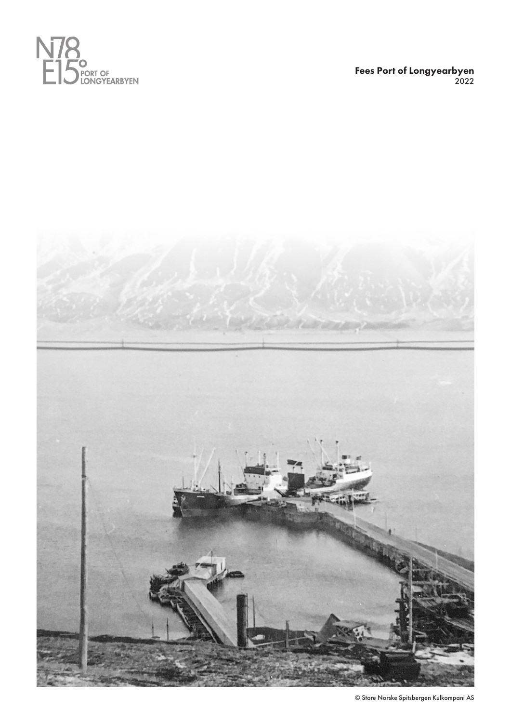

Fees Port of Longyearbyen 2022



© Store Norske Spitsbergen Kulkompani AS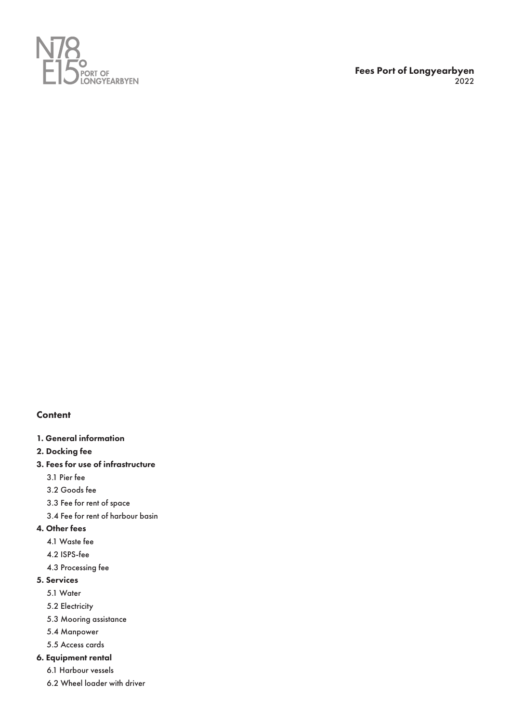

## **Content**

- 1. General information
- 2. Docking fee
- 3. Fees for use of infrastructure
	- 3.1 Pier fee
	- 3.2 Goods fee
	- 3.3 Fee for rent of space
	- 3.4 Fee for rent of harbour basin
- 4. Other fees
	- 4.1 Waste fee
	- 4.2 ISPS-fee
	- 4.3 Processing fee

# 5. Services

- 5.1 Water
- 5.2 Electricity
- 5.3 Mooring assistance
- 5.4 Manpower
- 5.5 Access cards

## 6. Equipment rental

- 6.1 Harbour vessels
- 6.2 Wheel loader with driver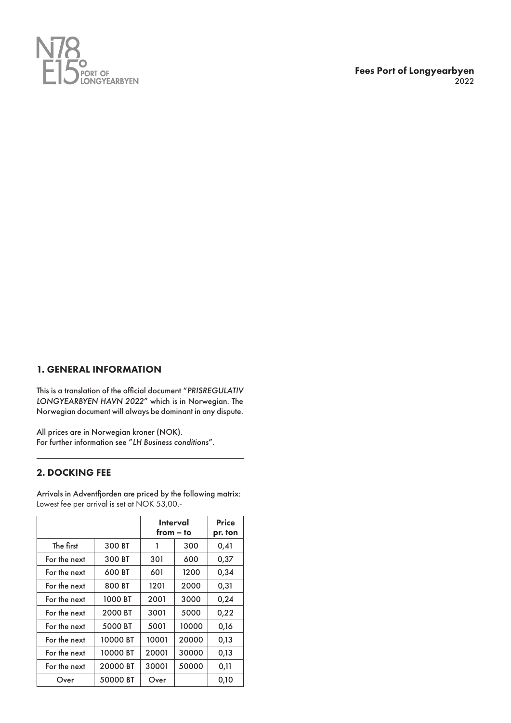

# 1. GENERAL INFORMATION

This is a translation of the official document "*PRISREGULATIV LONGYEARBYEN HAVN 2022*" which is in Norwegian. The Norwegian document will always be dominant in any dispute.

All prices are in Norwegian kroner (NOK). For further information see "*LH Business conditions*".

# 2. DOCKING FEE

Arrivals in Adventfjorden are priced by the following matrix: Lowest fee per arrival is set at NOK 53,00.-

|              |          |       | <b>Interval</b><br>$from - to$ | <b>Price</b><br>pr. ton |
|--------------|----------|-------|--------------------------------|-------------------------|
| The first    | 300 BT   | 1     | 300                            | 0,41                    |
| For the next | 300 BT   | 301   | 600                            | 0,37                    |
| For the next | 600 BT   | 601   | 1200                           | 0,34                    |
| For the next | 800 BT   | 1201  | 2000                           | 0,31                    |
| For the next | 1000 BT  | 2001  | 3000                           | 0,24                    |
| For the next | 2000 BT  | 3001  | 5000                           | 0,22                    |
| For the next | 5000 BT  | 5001  | 10000                          | 0,16                    |
| For the next | 10000 BT | 10001 | 20000                          | 0,13                    |
| For the next | 10000 BT | 20001 | 30000                          | 0,13                    |
| For the next | 20000 BT | 30001 | 50000                          | 0,11                    |
| Over         | 50000 BT | Over  |                                | 0,10                    |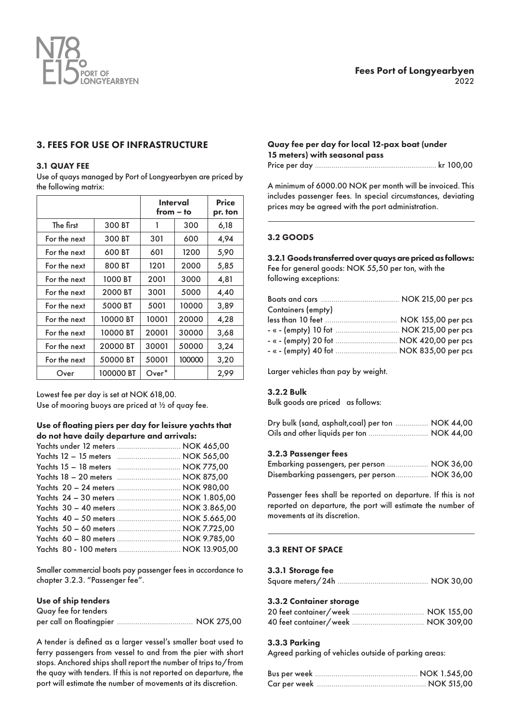

# 3. FEES FOR USE OF INFRASTRUCTURE

#### 3.1 QUAY FEE

Use of quays managed by Port of Longyearbyen are priced by the following matrix:

|              |           |                   | <b>Interval</b><br>from – to | <b>Price</b><br>pr. ton |
|--------------|-----------|-------------------|------------------------------|-------------------------|
| The first    | 300 BT    | 1                 | 300                          | 6,18                    |
| For the next | 300 BT    | 301               | 600                          | 4,94                    |
| For the next | 600 BT    | 601               | 1200                         | 5,90                    |
| For the next | 800 BT    | 1201              | 2000                         | 5,85                    |
| For the next | 1000 BT   | 2001              | 3000                         | 4,81                    |
| For the next | 2000 BT   | 3001              | 5000                         | 4,40                    |
| For the next | 5000 BT   | 5001              | 10000                        | 3,89                    |
| For the next | 10000 BT  | 10001             | 20000                        | 4,28                    |
| For the next | 10000 BT  | 20001             | 30000                        | 3,68                    |
| For the next | 20000 BT  | 30001             | 50000                        | 3,24                    |
| For the next | 50000 BT  | 50001             | 100000                       | 3,20                    |
| Over         | 100000 BT | Over <sup>*</sup> |                              | 2,99                    |

Lowest fee per day is set at NOK 618,00. Use of mooring buoys are priced at ½ of quay fee.

#### Use of floating piers per day for leisure yachts that do not have daily departure and arrivals:

| Yachts under 12 meters  NOK 465,00    |  |
|---------------------------------------|--|
|                                       |  |
|                                       |  |
|                                       |  |
| Yachts 20 - 24 meters  NOK 980,00     |  |
| Yachts 24 - 30 meters  NOK 1.805,00   |  |
|                                       |  |
|                                       |  |
|                                       |  |
| Yachts 60 - 80 meters  NOK 9.785,00   |  |
| Yachts 80 - 100 meters  NOK 13.905,00 |  |

Smaller commercial boats pay passenger fees in accordance to chapter 3.2.3. "Passenger fee".

#### Use of ship tenders

| Quay fee for tenders |  |
|----------------------|--|
|                      |  |

A tender is defined as a larger vessel's smaller boat used to ferry passengers from vessel to and from the pier with short stops. Anchored ships shall report the number of trips to/from the quay with tenders. If this is not reported on departure, the port will estimate the number of movements at its discretion.

# Quay fee per day for local 12-pax boat (under 15 meters) with seasonal pass

Price per day ........................................................... kr 100,00

A minimum of 6000.00 NOK per month will be invoiced. This includes passenger fees. In special circumstances, deviating prices may be agreed with the port administration.

## 3.2 GOODS

#### 3.2.1 Goods transferred over quays are priced as follows: Fee for general goods: NOK 55,50 per ton, with the following exceptions:

| Boots and cars | $NOK 21500$ per pcs |
|----------------|---------------------|

| - « - (empty) 10 fot  NOK 215,00 per pcs |
|------------------------------------------|
| - « - (empty) 20 fot  NOK 420,00 per pcs |
| - « - (empty) 40 fot  NOK 835,00 per pcs |
|                                          |

Larger vehicles than pay by weight.

#### 3.2.2 Bulk

Bulk goods are priced as follows:

| Dry bulk (sand, asphalt, coal) per ton  NOK 44,00 |  |
|---------------------------------------------------|--|
| Oils and other liquids per ton  NOK 44,00         |  |

#### 3.2.3 Passenger fees

| Embarking passengers, per person  NOK 36,00   |  |
|-----------------------------------------------|--|
| Disembarking passengers, per person NOK 36,00 |  |

Passenger fees shall be reported on departure. If this is not reported on departure, the port will estimate the number of movements at its discretion.

## 3.3 RENT OF SPACE

| 3.3.1 Storage fee |  |
|-------------------|--|
|                   |  |

# 3.3.2 Container storage

#### 3.3.3 Parking

Agreed parking of vehicles outside of parking areas: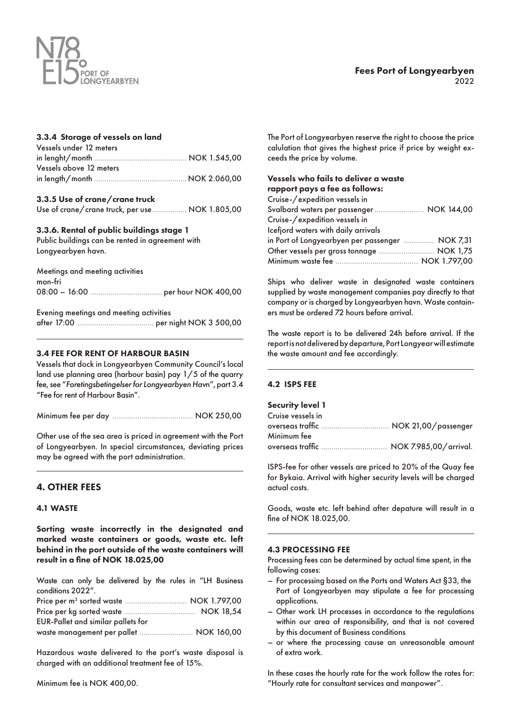

# Fees Port of Longyearbyen 2022

#### 3.3.4 Storage of vessels on land

| Vessels under 12 meters |  |
|-------------------------|--|
|                         |  |
| Vessels above 12 meters |  |
|                         |  |
|                         |  |

#### 3.3.5 Use of crane/crane truck

Use of crane/crane truck, per use................. NOK 1.805,00

#### 3.3.6. Rental of public buildings stage 1

Public buildings can be rented in agreement with Longyearbyen havn.

| Meetings and meeting activities |  |
|---------------------------------|--|
| mon-fri                         |  |
|                                 |  |

Evening meetings and meeting activities

after 17:00 ..................................... per night NOK 3 500,00

#### 3.4 FEE FOR RENT OF HARBOUR BASIN

Vessels that dock in Longyearbyen Community Council's local land use planning area (harbour basin) pay 1/5 of the quarry fee, see "*Foretingsbetingelser for Longyearbyen Hav*n", part 3.4 "Fee for rent of Harbour Basin".

Minimum fee per day ....................................... NOK 250,00

Other use of the sea area is priced in agreement with the Port of Longyearbyen. In special circumstances, deviating prices may be agreed with the port administration.

# 4. OTHER FEES

#### 4.1 WASTE

Sorting waste incorrectly in the designated and marked waste containers or goods, waste etc. left behind in the port outside of the waste containers will result in a fine of NOK 18.025,00

Waste can only be delivered by the rules in "LH Business conditions 2022".

| <b>EUR-Pallet and similar pallets for</b> |  |
|-------------------------------------------|--|
| waste management per pallet  NOK 160,00   |  |

Hazardous waste delivered to the port's waste disposal is charged with an additional treatment fee of 15%.

The Port of Longyearbyen reserve the right to choose the price calulation that gives the highest price if price by weight exceeds the price by volume.

| Vessels who fails to deliver a waste            |  |
|-------------------------------------------------|--|
| rapport pays a fee as follows:                  |  |
| Cruise-/expedition vessels in                   |  |
| Svalbard waters per passenger  NOK 144,00       |  |
| Cruise-/expedition vessels in                   |  |
| Icefjord waters with daily arrivals             |  |
| in Port of Longyearbyen per passenger  NOK 7,31 |  |
| Other vessels per gross tonnage  NOK 1,75       |  |
|                                                 |  |

Ships who deliver waste in designated waste containers supplied by waste management companies pay directly to that company or is charged by Longyearbyen havn. Waste containers must be ordered 72 hours before arrival.

The waste report is to be delivered 24h before arrival. If the report is not delivered by departure, Port Longyear will estimate the waste amount and fee accordingly.

#### 4.2 ISPS FEE

#### Security level 1

| Cruise vessels in |  |
|-------------------|--|
|                   |  |
| Minimum fee       |  |
|                   |  |

ISPS-fee for other vessels are priced to 20% of the Quay fee for Bykaia. Arrival with higher security levels will be charged actual costs.

Goods, waste etc. left behind after depature will result in a fine of NOK 18.025,00.

#### 4.3 PROCESSING FEE

Processing fees can be determined by actual time spent, in the following cases:

- For processing based on the Ports and Waters Act §33, the Port of Longyearbyen may stipulate a fee for processing applications.
- Other work LH processes in accordance to the regulations within our area of responsibility, and that is not covered by this document of Business conditions
- or where the processing cause an unreasonable amount of extra work.

In these cases the hourly rate for the work follow the rates for: "Hourly rate for consultant services and manpower".